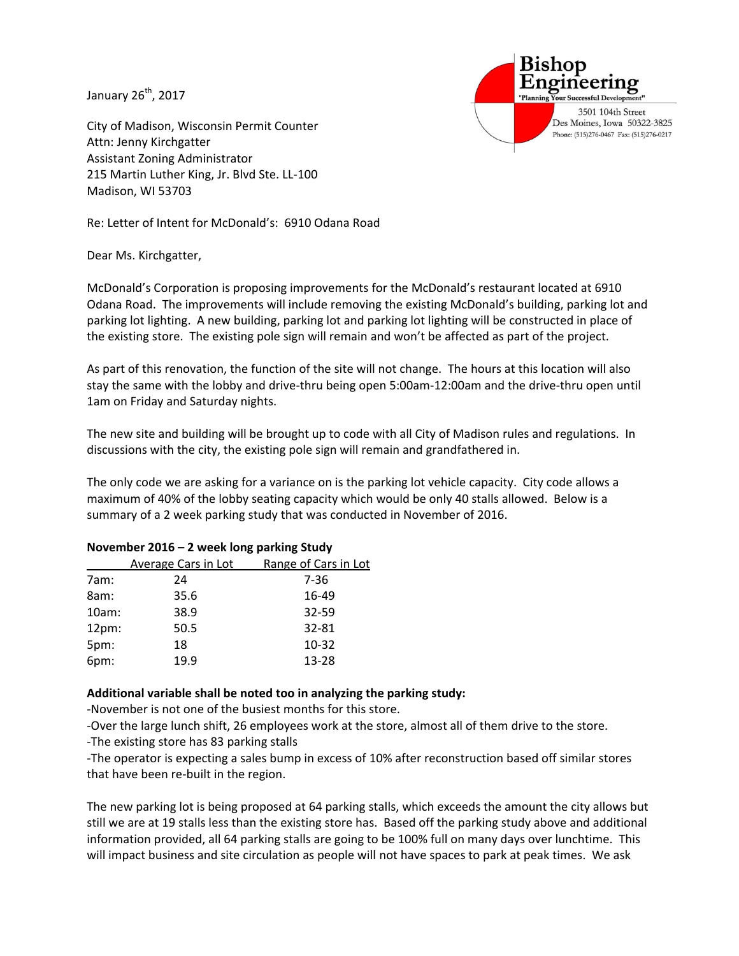January 26<sup>th</sup>, 2017

City of Madison, Wisconsin Permit Counter Attn: Jenny Kirchgatter Assistant Zoning Administrator 215 Martin Luther King, Jr. Blvd Ste. LL-100 Madison, WI 53703

Re: Letter of Intent for McDonald's: 6910 Odana Road

Dear Ms. Kirchgatter,

McDonald's Corporation is proposing improvements for the McDonald's restaurant located at 6910 Odana Road. The improvements will include removing the existing McDonald's building, parking lot and parking lot lighting. A new building, parking lot and parking lot lighting will be constructed in place of the existing store. The existing pole sign will remain and won't be affected as part of the project.

3501 104th Street Des Moines, Iowa 50322-3825 Phone: (515)276-0467 Fax: (515)276-0217

As part of this renovation, the function of the site will not change. The hours at this location will also stay the same with the lobby and drive-thru being open 5:00am-12:00am and the drive-thru open until 1am on Friday and Saturday nights.

The new site and building will be brought up to code with all City of Madison rules and regulations. In discussions with the city, the existing pole sign will remain and grandfathered in.

The only code we are asking for a variance on is the parking lot vehicle capacity. City code allows a maximum of 40% of the lobby seating capacity which would be only 40 stalls allowed. Below is a summary of a 2 week parking study that was conducted in November of 2016.

|          | Average Cars in Lot | Range of Cars in Lot |
|----------|---------------------|----------------------|
| 7am:     | 24                  | 7-36                 |
| 8am:     | 35.6                | 16-49                |
| 10am:    | 38.9                | 32-59                |
| $12pm$ : | 50.5                | 32-81                |
| 5pm:     | 18                  | $10 - 32$            |
| 6pm:     | 19.9                | 13-28                |
|          |                     |                      |

## **November 2016 – 2 week long parking Study**

## **Additional variable shall be noted too in analyzing the parking study:**

-November is not one of the busiest months for this store.

-Over the large lunch shift, 26 employees work at the store, almost all of them drive to the store.

-The existing store has 83 parking stalls

-The operator is expecting a sales bump in excess of 10% after reconstruction based off similar stores that have been re-built in the region.

The new parking lot is being proposed at 64 parking stalls, which exceeds the amount the city allows but still we are at 19 stalls less than the existing store has. Based off the parking study above and additional information provided, all 64 parking stalls are going to be 100% full on many days over lunchtime. This will impact business and site circulation as people will not have spaces to park at peak times. We ask